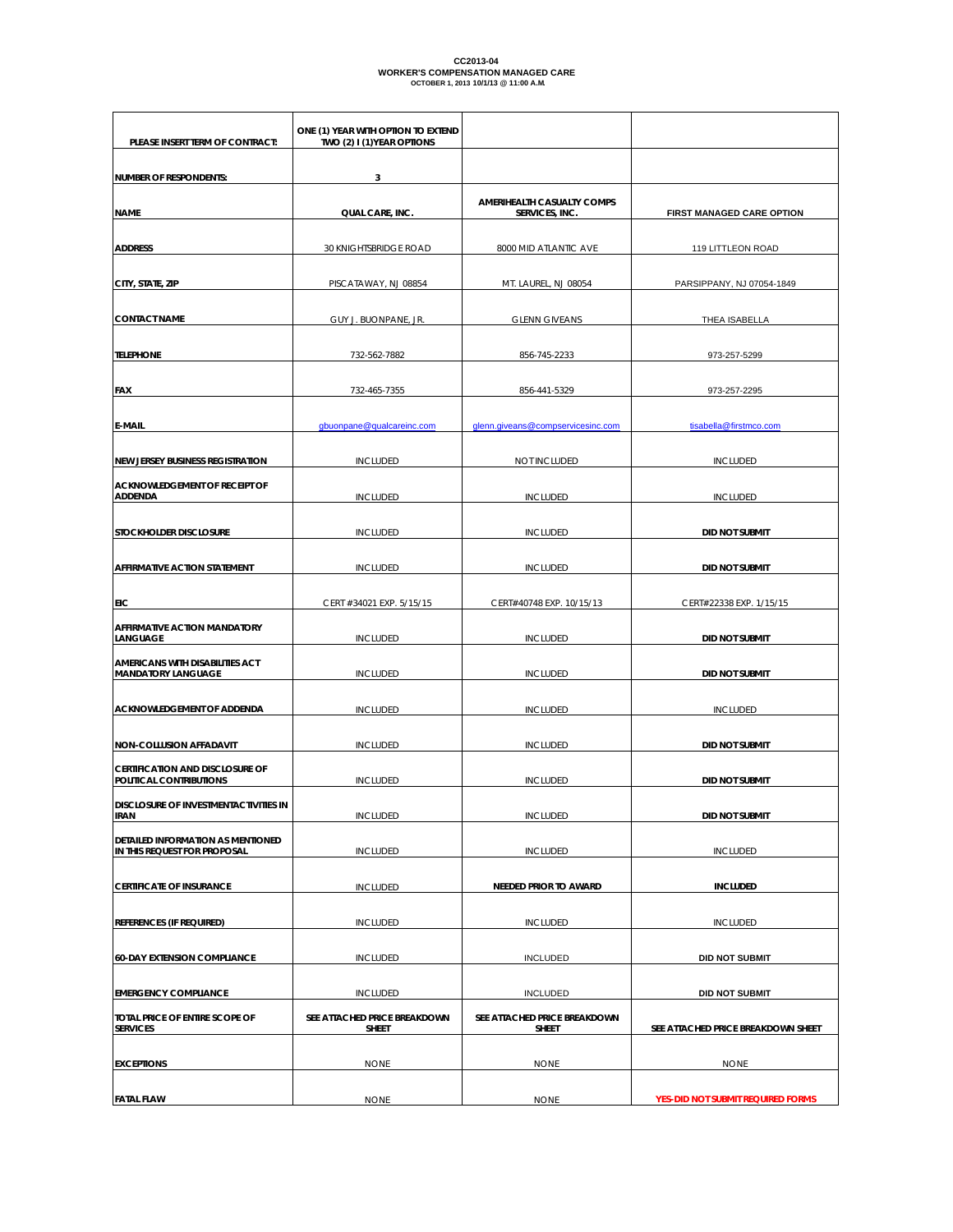# CC2013-04<br>WORKER'S COMPENSATION MANAGED CARE<br>OCTOBER 1, 2013 10/1/13 @ 11:00 A.M.

| PLEASE INSERT TERM OF CONTRACT:                                   | ONE (1) YEAR WITH OPTION TO EXTEND<br>TWO (2) I (1) YEAR OPTIONS |                                              |                                    |  |
|-------------------------------------------------------------------|------------------------------------------------------------------|----------------------------------------------|------------------------------------|--|
| <b>NUMBER OF RESPONDENTS:</b>                                     | 3                                                                |                                              |                                    |  |
| <b>NAME</b>                                                       | QUAL CARE, INC.                                                  | AMERIHEALTH CASUALTY COMPS<br>SERVICES, INC. | FIRST MANAGED CARE OPTION          |  |
| <b>ADDRESS</b>                                                    | 30 KNIGHTSBRIDGE ROAD                                            | 8000 MID ATLANTIC AVE                        | 119 LITTLEON ROAD                  |  |
| CITY, STATE, ZIP                                                  | PISCATAWAY, NJ 08854                                             | MT. LAUREL, NJ 08054                         | PARSIPPANY, NJ 07054-1849          |  |
| <b>CONTACT NAME</b>                                               | GUY J. BUONPANE, JR.                                             | <b>GLENN GIVEANS</b>                         | THEA ISABELLA                      |  |
| <b>TELEPHONE</b>                                                  | 732-562-7882                                                     | 856-745-2233                                 | 973-257-5299                       |  |
| <b>FAX</b>                                                        | 732-465-7355                                                     | 856-441-5329                                 | 973-257-2295                       |  |
| <b>E-MAIL</b>                                                     | gbuonpane@qualcareinc.com                                        | glenn.giveans@compservicesinc.com            | tisabella@firstmco.com             |  |
| <b>NEW JERSEY BUSINESS REGISTRATION</b>                           | <b>INCLUDED</b>                                                  | NOT INCLUDED                                 | <b>INCLUDED</b>                    |  |
| <b>ACKNOWLEDGEMENT OF RECEIPT OF</b><br><b>ADDENDA</b>            | <b>INCLUDED</b>                                                  | <b>INCLUDED</b>                              | <b>INCLUDED</b>                    |  |
| STOCKHOLDER DISCLOSURE                                            | <b>INCLUDED</b>                                                  | <b>INCLUDED</b>                              | <b>DID NOT SUBMIT</b>              |  |
| AFFIRMATIVE ACTION STATEMENT                                      | <b>INCLUDED</b>                                                  | <b>INCLUDED</b>                              | <b>DID NOT SUBMIT</b>              |  |
| EIC                                                               | CERT #34021 EXP. 5/15/15                                         | CERT#40748 EXP. 10/15/13                     | CERT#22338 EXP. 1/15/15            |  |
| AFFIRMATIVE ACTION MANDATORY<br>LANGUAGE                          | <b>INCLUDED</b>                                                  | <b>INCLUDED</b>                              | <b>DID NOT SUBMIT</b>              |  |
| AMERICANS WITH DISABILITIES ACT<br><b>MANDATORY LANGUAGE</b>      | <b>INCLUDED</b>                                                  | <b>INCLUDED</b>                              | <b>DID NOT SUBMIT</b>              |  |
| ACKNOWLEDGEMENT OF ADDENDA                                        | <b>INCLUDED</b>                                                  | <b>INCLUDED</b>                              | <b>INCLUDED</b>                    |  |
| NON-COLLUSION AFFADAVIT                                           | <b>INCLUDED</b>                                                  | <b>INCLUDED</b>                              | <b>DID NOT SUBMIT</b>              |  |
| <b>CERTIFICATION AND DISCLOSURE OF</b><br>POLITICAL CONTRIBUTIONS | <b>INCLUDED</b>                                                  | <b>INCLUDED</b>                              | <b>DID NOT SUBMIT</b>              |  |
| DISCLOSURE OF INVESTMENTACTIVITIES IN<br><b>IRAN</b>              | <b>INCLUDED</b>                                                  | <b>INCLUDED</b>                              | <b>DID NOT SUBMIT</b>              |  |
| DETAILED INFORMATION AS MENTIONED<br>IN THIS REQUEST FOR PROPOSAL | <b>INCLUDED</b>                                                  | <b>INCLUDED</b>                              | <b>INCLUDED</b>                    |  |
| <b>CERTIFICATE OF INSURANCE</b>                                   | <b>INCLUDED</b>                                                  | <b>NEEDED PRIOR TO AWARD</b>                 | <b>INCLUDED</b>                    |  |
| <b>REFERENCES (IF REQUIRED)</b>                                   | <b>INCLUDED</b>                                                  | <b>INCLUDED</b>                              | <b>INCLUDED</b>                    |  |
| <b>60-DAY EXTENSION COMPLIANCE</b>                                | <b>INCLUDED</b>                                                  | <b>INCLUDED</b>                              | <b>DID NOT SUBMIT</b>              |  |
| <b>EMERGENCY COMPLIANCE</b>                                       | <b>INCLUDED</b>                                                  | <b>INCLUDED</b>                              | <b>DID NOT SUBMIT</b>              |  |
| TOTAL PRICE OF ENTIRE SCOPE OF<br><b>SERVICES</b>                 | SEE ATTACHED PRICE BREAKDOWN<br><b>SHEET</b>                     | SEE ATTACHED PRICE BREAKDOWN<br><b>SHEET</b> | SEE ATTACHED PRICE BREAKDOWN SHEET |  |
| <b>EXCEPTIONS</b>                                                 | <b>NONE</b>                                                      | <b>NONE</b>                                  | <b>NONE</b>                        |  |
| <b>FATAL FLAW</b>                                                 | <b>NONE</b>                                                      | <b>NONE</b>                                  | YES-DID NOT SUBMIT REQUIRED FORMS  |  |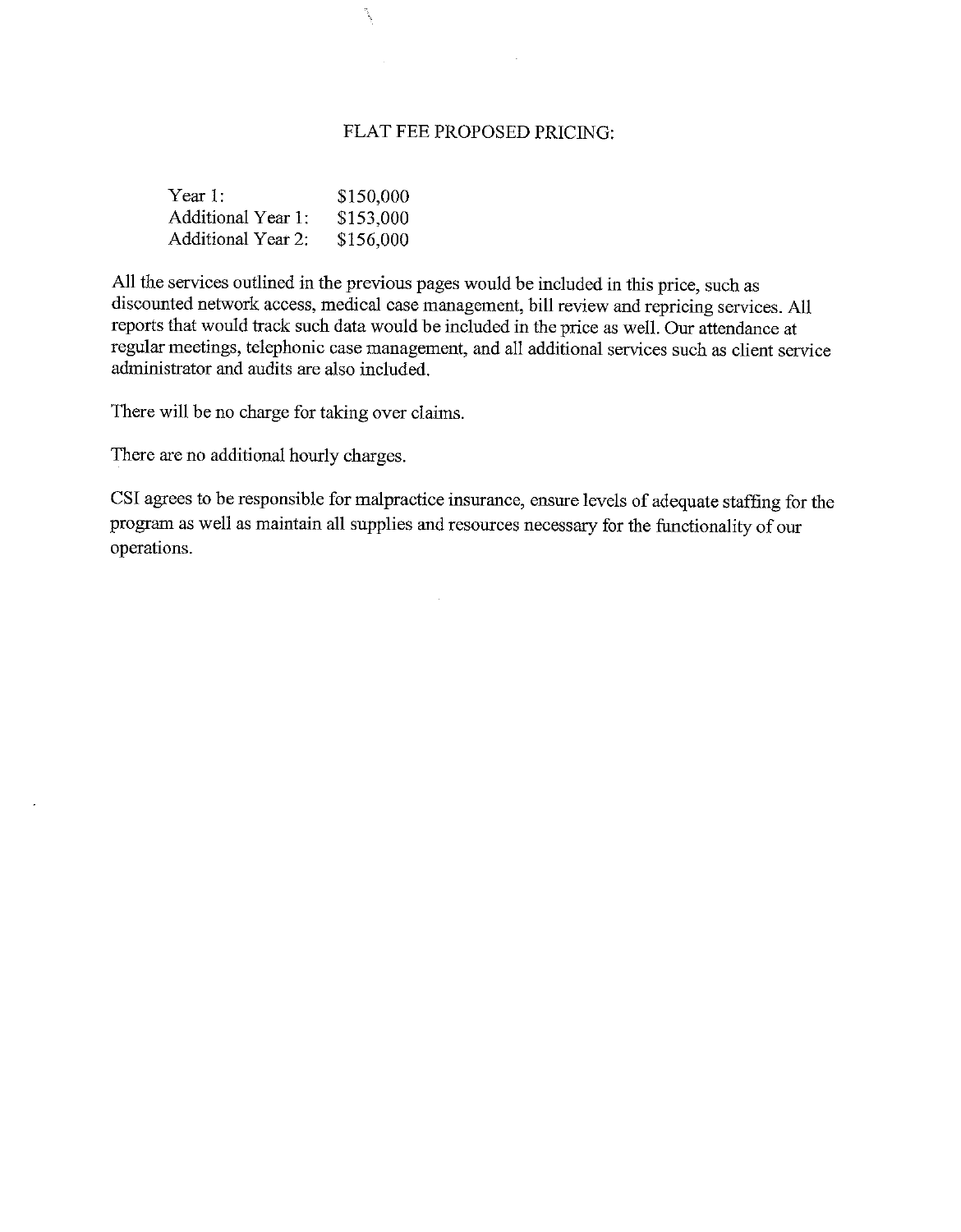## FLAT FEE PROPOSED PRICING:

 $\label{eq:2.1} \frac{1}{\sqrt{2}}\int_{\mathbb{R}^3}\frac{1}{\sqrt{2}}\left(\frac{1}{\sqrt{2}}\right)^2\left(\frac{1}{\sqrt{2}}\right)^2\left(\frac{1}{\sqrt{2}}\right)^2\left(\frac{1}{\sqrt{2}}\right)^2\left(\frac{1}{\sqrt{2}}\right)^2\left(\frac{1}{\sqrt{2}}\right)^2.$ 

| Year 1:            | \$150,000 |
|--------------------|-----------|
| Additional Year 1: | \$153,000 |
| Additional Year 2: | \$156,000 |

range (

All the services outlined in the previous pages would be included in this price, such as discounted network access, medical case management, bill review and repricing services. All reports that would track such data would be included in the price as well. Our attendance at regular meetings, telephonic case management, and all additional services such as client service administrator and audits are also included.

There will be no charge for taking over claims.

There are no additional hourly charges.

 $\overline{a}$ 

CSI agrees to be responsible for malpractice insurance, ensure levels of adequate staffing for the program as well as maintain all supplies and resources necessary for the functionality of our operations.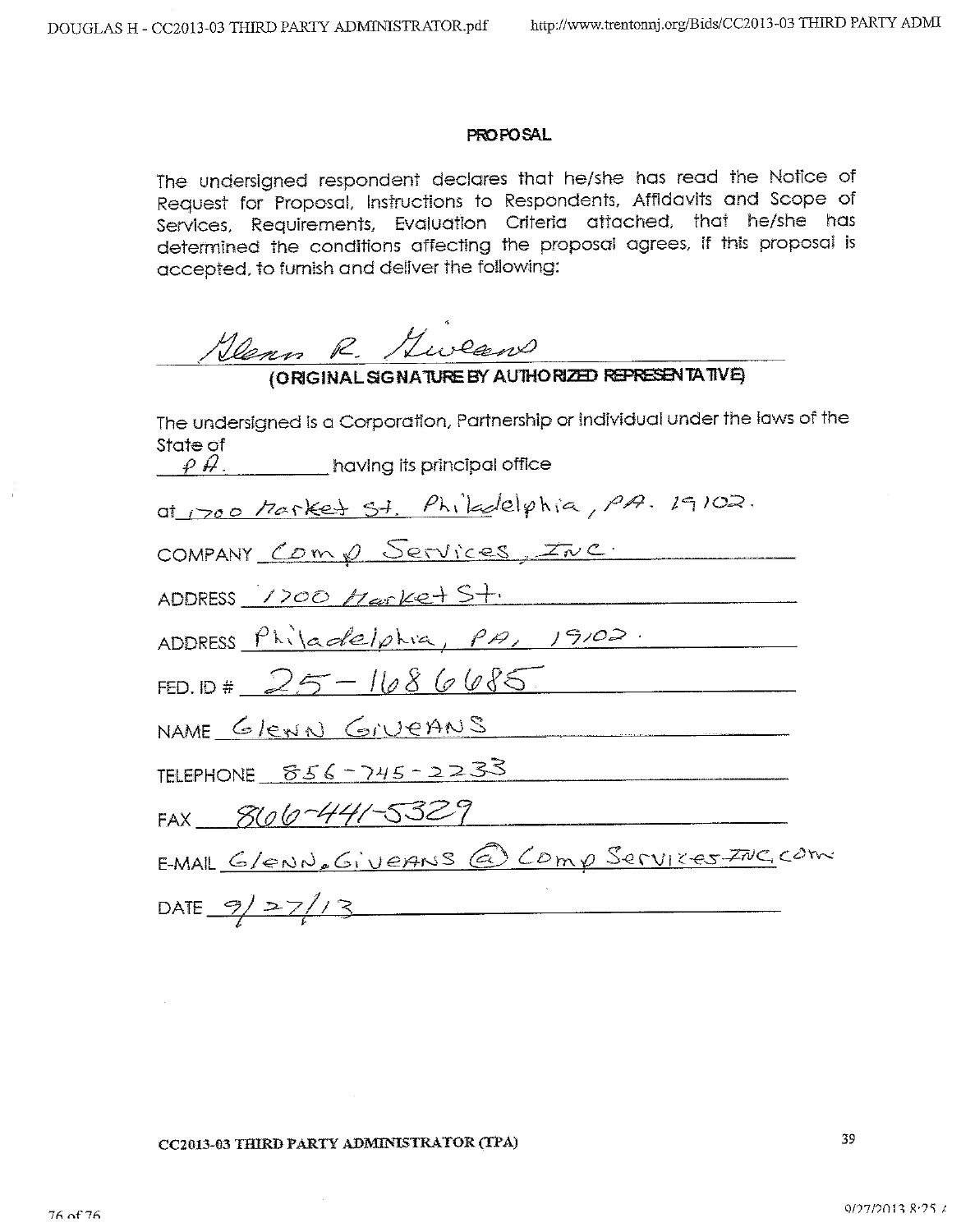### **PROPOSAL**

The undersigned respondent declares that he/she has read the Notice of Request for Proposal, Instructions to Respondents, Affidavits and Scope of Services, Requirements, Evaluation Criteria attached, that he/she has determined the conditions affecting the proposal agrees, if this proposal is accepted, to furnish and deliver the following:

100mm R. /Lucean

| The undersigned is a Corporation, Partnership or individual under the laws of the |
|-----------------------------------------------------------------------------------|
| State of<br>$\rho$ $\beta$ . $\rho$ having its principal office                   |
| at 1700 Market St. Philadelphia, PA. 19102.                                       |
| COMPANY Comp Services, INC.                                                       |
| ADDRESS 1700 Harket St.                                                           |
| ADDRESS Philadelphia, PA, 19102.                                                  |
| FED. ID # $25 - 1686685$                                                          |
| NAME GleNN GIVEANS                                                                |
| TELEPHONE $856 - 745 - 2233$                                                      |
| FAX 866-441-5329                                                                  |
| E-MAIL G/ENN. GIVERNS @ COMP Services INC, COM                                    |
| DATE $9/27/3$                                                                     |

#### CC2013-03 THIRD PARTY ADMINISTRATOR (TPA)

39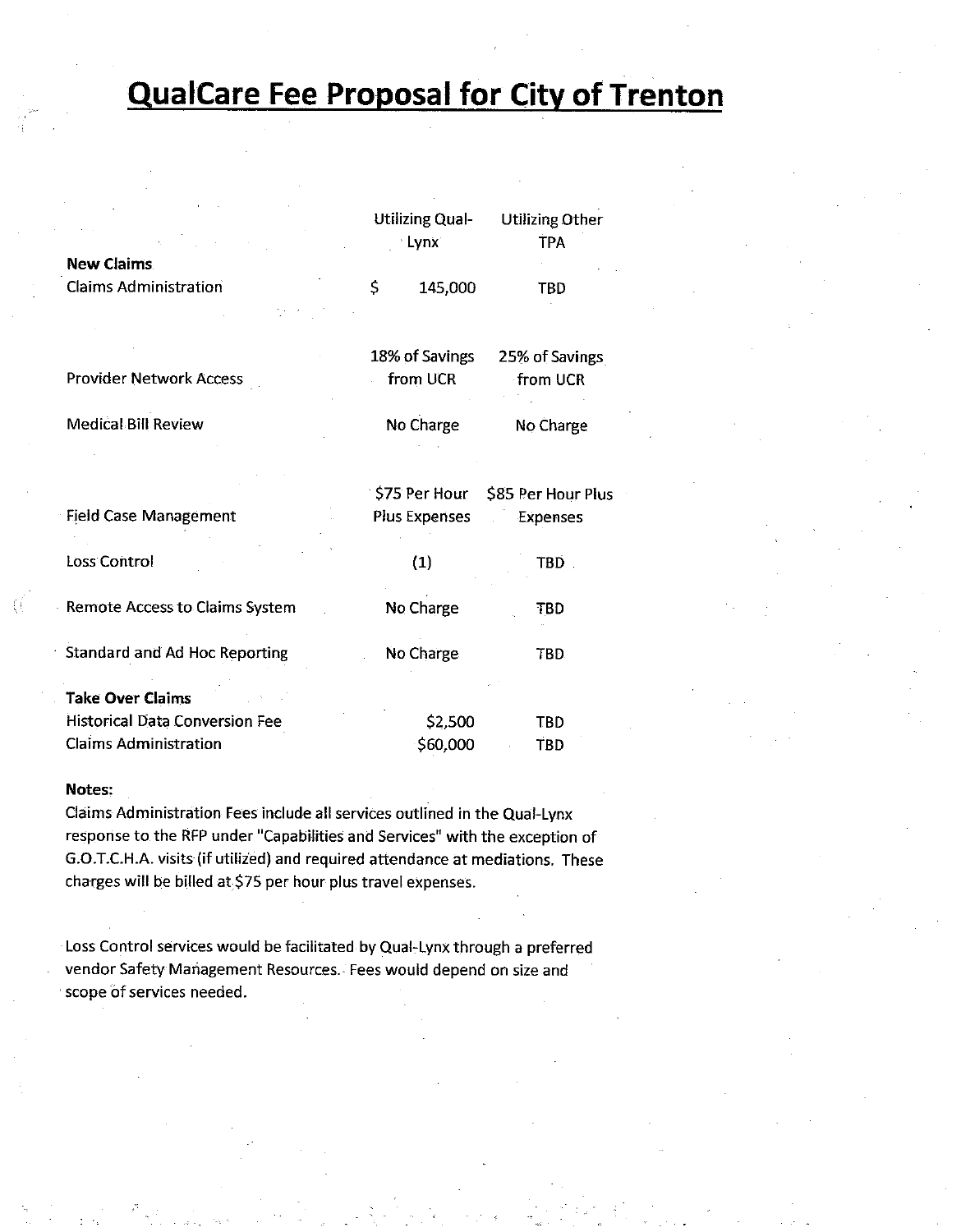# **QualCare Fee Proposal for City of Trenton**

|                                      | <b>Utilizing Qual-</b><br><b>Lynx</b> | <b>Utilizing Other</b><br><b>TPA</b> |
|--------------------------------------|---------------------------------------|--------------------------------------|
| <b>New Claims</b>                    |                                       |                                      |
| <b>Claims Administration</b>         | Ś<br>145,000                          | TBD                                  |
|                                      | 18% of Savings                        | 25% of Savings                       |
| <b>Provider Network Access</b>       | from UCR                              | from UCR                             |
| <b>Medical Bill Review</b>           | No Charge                             | No Charge                            |
|                                      | \$75 Per Hour                         | \$85 Per Hour Plus                   |
| <b>Field Case Management</b>         | Plus Expenses                         | Expenses                             |
| Loss Control                         | (1)                                   | TBD.                                 |
| Remote Access to Claims System       | No Charge                             | TBD                                  |
| <b>Standard and Ad Hoc Reporting</b> | No Charge                             | TBD.                                 |
| <b>Take Over Claims</b>              |                                       |                                      |
| Historical Data Conversion Fee       | \$2,500                               | <b>TBD</b>                           |
| <b>Claims Administration</b>         | \$60,000                              | TBD                                  |

### Notes:

Claims Administration Fees include all services outlined in the Qual-Lynx response to the RFP under "Capabilities and Services" with the exception of G.O.T.C.H.A. visits (if utilized) and required attendance at mediations. These charges will be billed at \$75 per hour plus travel expenses.

Loss Control services would be facilitated by Qual-Lynx through a preferred vendor Safety Management Resources. Fees would depend on size and scope of services needed.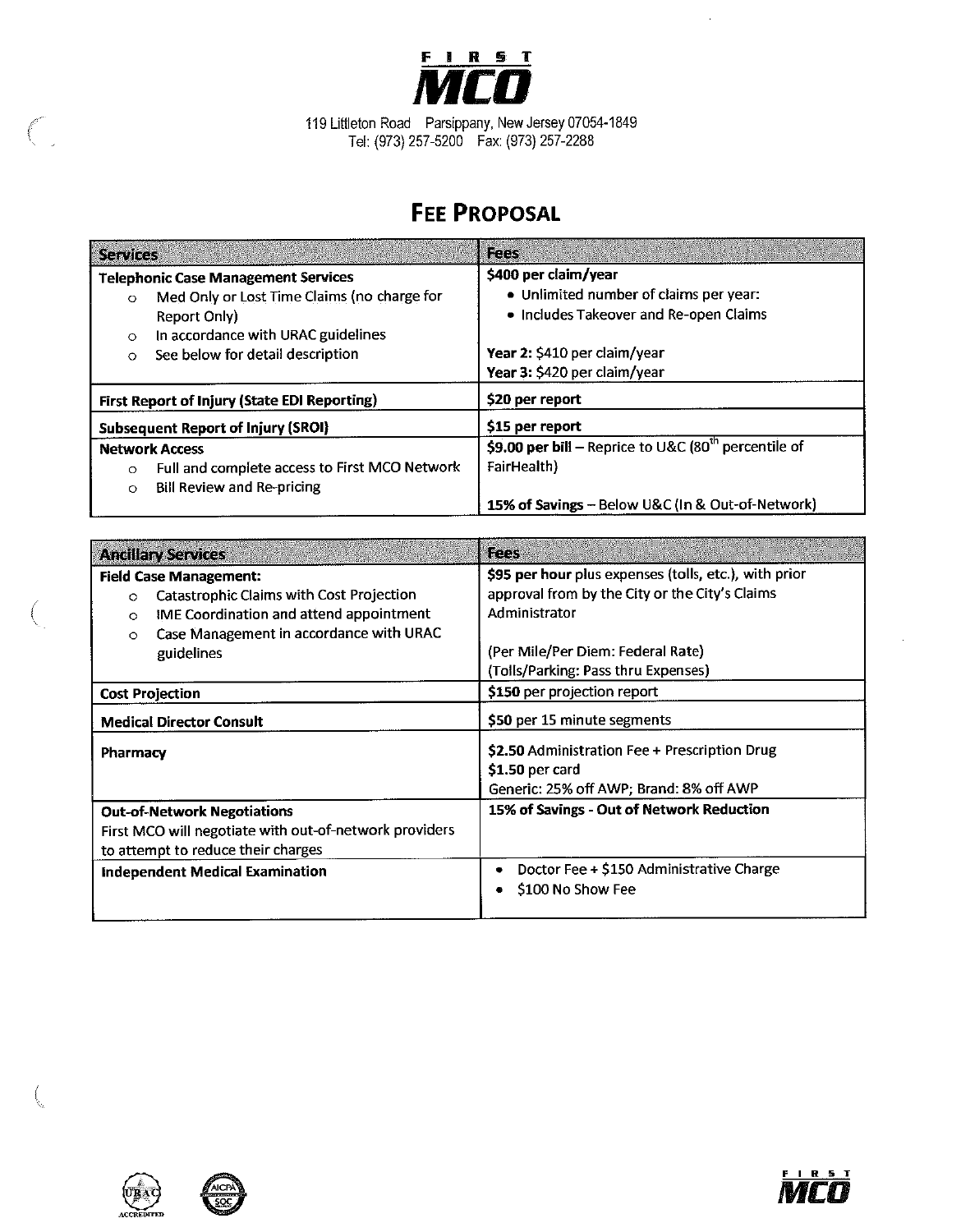

 $\bar{z}$ 

119 Littleton Road Parsippany, New Jersey 07054-1849<br>Tel: (973) 257-5200 Fax: (973) 257-2288

# **FEE PROPOSAL**

| <b>Services</b>                                          | Fees                                                             |
|----------------------------------------------------------|------------------------------------------------------------------|
| <b>Telephonic Case Management Services</b>               | \$400 per claim/year                                             |
| Med Only or Lost Time Claims (no charge for<br>$\circ$   | • Unlimited number of claims per year:                           |
| Report Only)                                             | • Includes Takeover and Re-open Claims                           |
| In accordance with URAC guidelines<br>$\circ$            |                                                                  |
| See below for detail description<br>$\circ$              | Year 2: \$410 per claim/year                                     |
|                                                          | Year 3: \$420 per claim/year                                     |
| First Report of Injury (State EDI Reporting)             | \$20 per report                                                  |
| <b>Subsequent Report of Injury (SROI)</b>                | \$15 per report                                                  |
| <b>Network Access</b>                                    | \$9.00 per bill - Reprice to U&C (80 <sup>th</sup> percentile of |
| Full and complete access to First MCO Network<br>$\circ$ | FairHealth)                                                      |
| Bill Review and Re-pricing<br>$\circ$                    |                                                                  |
|                                                          | 15% of Savings - Below U&C (In & Out-of-Network)                 |

| <b>Ancillary Services</b>                                                                                                                                                                                      | <b>Rees</b>                                                                                                                                                                                          |
|----------------------------------------------------------------------------------------------------------------------------------------------------------------------------------------------------------------|------------------------------------------------------------------------------------------------------------------------------------------------------------------------------------------------------|
| <b>Field Case Management:</b><br>Catastrophic Claims with Cost Projection<br>$\circ$<br>IME Coordination and attend appointment<br>$\circ$<br>Case Management in accordance with URAC<br>$\circ$<br>guidelines | \$95 per hour plus expenses (tolls, etc.), with prior<br>approval from by the City or the City's Claims<br>Administrator<br>(Per Mile/Per Diem: Federal Rate)<br>(Tolls/Parking: Pass thru Expenses) |
| <b>Cost Projection</b>                                                                                                                                                                                         | \$150 per projection report                                                                                                                                                                          |
| <b>Medical Director Consult</b>                                                                                                                                                                                | \$50 per 15 minute segments                                                                                                                                                                          |
| <b>Pharmacy</b>                                                                                                                                                                                                | \$2.50 Administration Fee + Prescription Drug<br>$$1.50$ per card<br>Generic: 25% off AWP; Brand: 8% off AWP                                                                                         |
| <b>Out-of-Network Negotiations</b><br>First MCO will negotiate with out-of-network providers<br>to attempt to reduce their charges                                                                             | 15% of Savings - Out of Network Reduction                                                                                                                                                            |
| <b>Independent Medical Examination</b>                                                                                                                                                                         | Doctor Fee + \$150 Administrative Charge<br>\$100 No Show Fee                                                                                                                                        |



 $\epsilon$ 



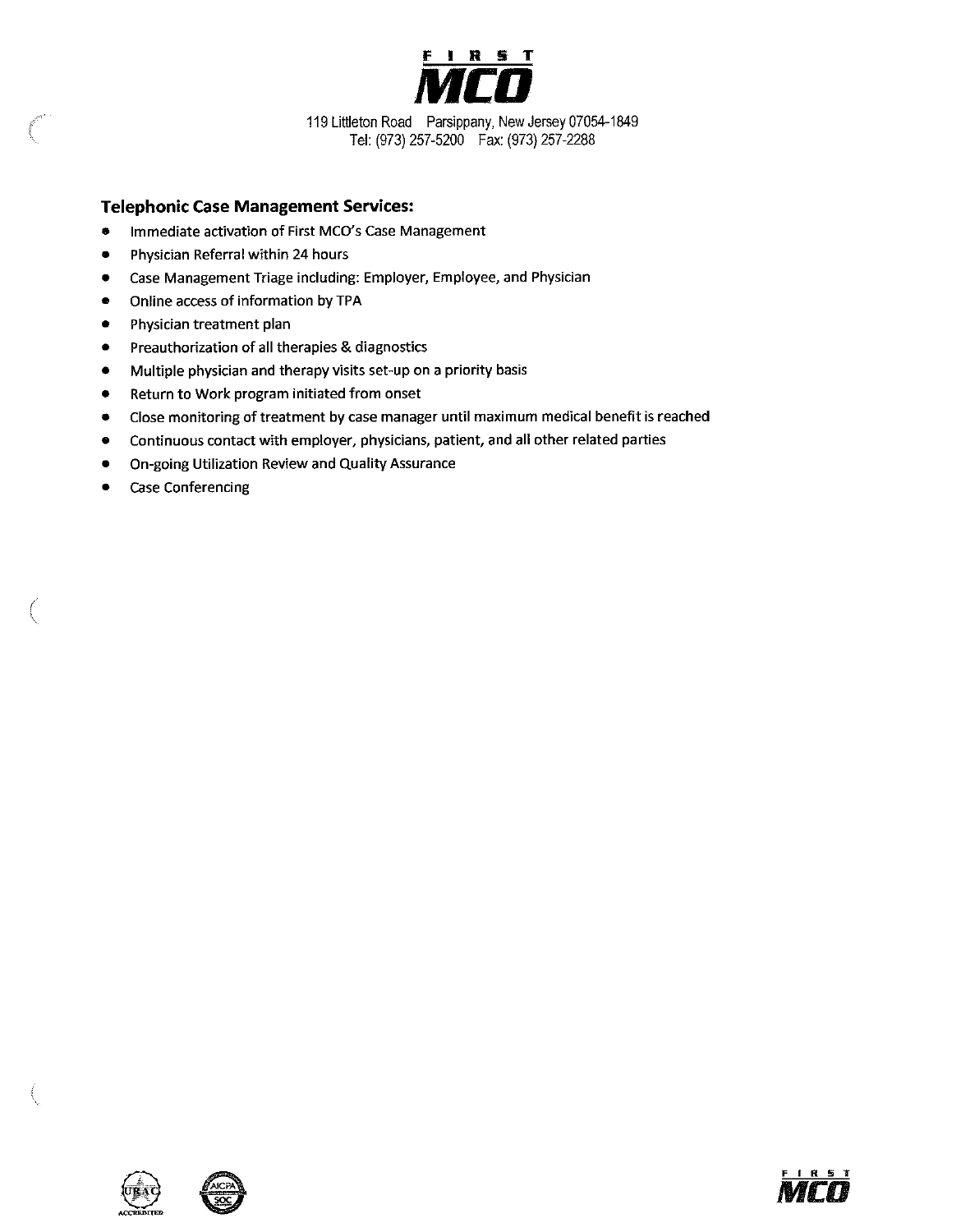

119 Littleton Road Parsippany, New Jersey 07054-1849 Tel: (973) 257-5200 Fax: (973) 257-2288

#### **Telephonic Case Management Services:**

- Immediate activation of First MCO's Case Management  $\bullet$
- Physician Referral within 24 hours  $\bullet$
- Case Management Triage including: Employer, Employee, and Physician  $\bullet$
- $\bullet$ Online access of information by TPA
- $\bullet$ Physician treatment plan
- Preauthorization of all therapies & diagnostics  $\bullet$
- Multiple physician and therapy visits set-up on a priority basis  $\bullet$
- Return to Work program initiated from onset  $\bullet$
- Close monitoring of treatment by case manager until maximum medical benefit is reached  $\bullet$
- Continuous contact with employer, physicians, patient, and all other related parties  $\bullet$
- On-going Utilization Review and Quality Assurance  $\bullet$
- **Case Conferencing**  $\bullet$